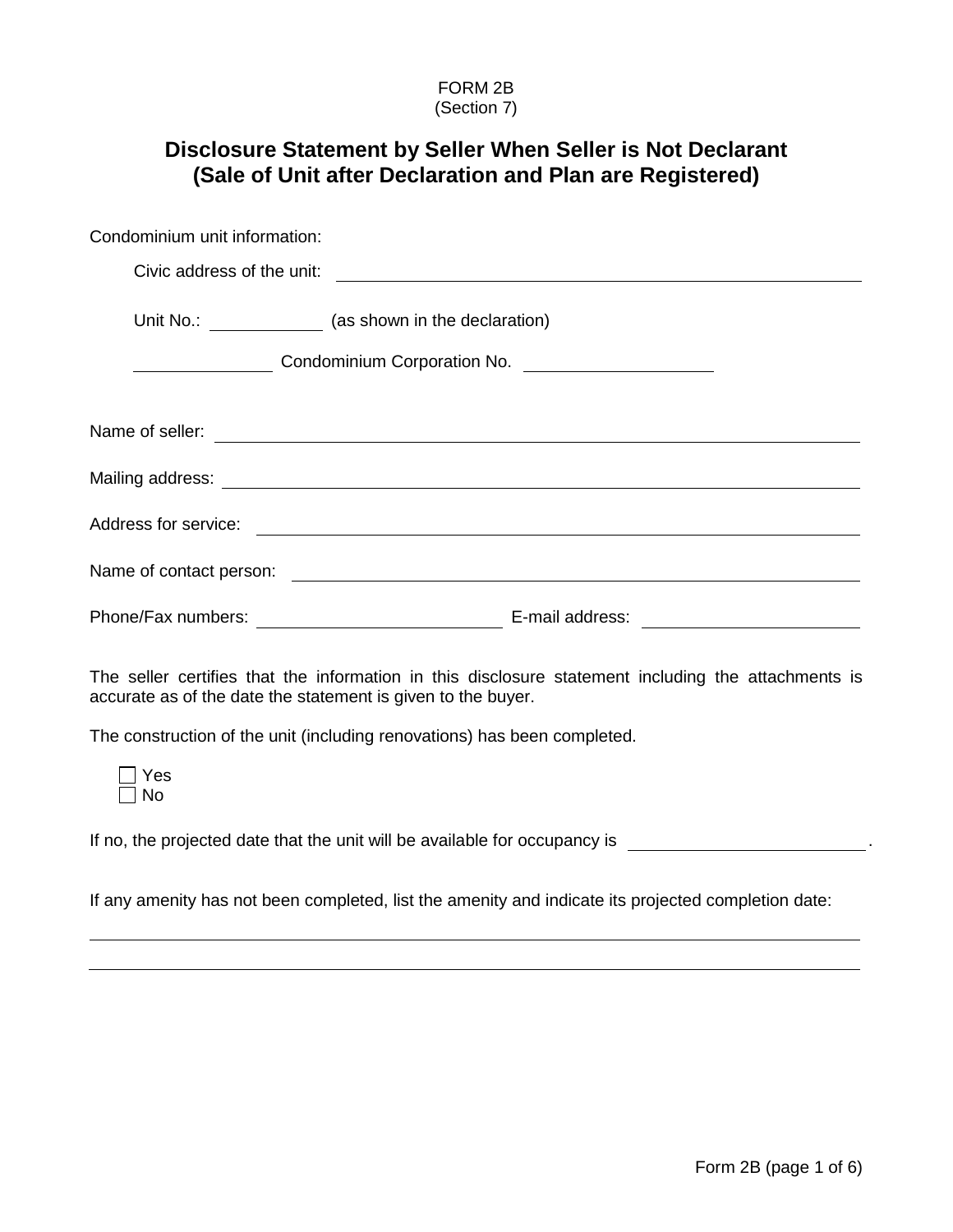#### FORM 2B (Section 7)

# **Disclosure Statement by Seller When Seller is Not Declarant (Sale of Unit after Declaration and Plan are Registered)**

| Condominium unit information:                                |                                                                                                     |
|--------------------------------------------------------------|-----------------------------------------------------------------------------------------------------|
|                                                              |                                                                                                     |
|                                                              | Unit No.: __________________ (as shown in the declaration)                                          |
|                                                              | Condominium Corporation No. \\condominium Corporation No. \\condomination Mo.                       |
|                                                              | Name of seller:<br>Name of seller:                                                                  |
|                                                              |                                                                                                     |
|                                                              |                                                                                                     |
|                                                              |                                                                                                     |
|                                                              |                                                                                                     |
| accurate as of the date the statement is given to the buyer. | The seller certifies that the information in this disclosure statement including the attachments is |
|                                                              | The construction of the unit (including renovations) has been completed.                            |
|                                                              |                                                                                                     |

Yes  $\Box$  No

If no, the projected date that the unit will be available for occupancy is .

If any amenity has not been completed, list the amenity and indicate its projected completion date: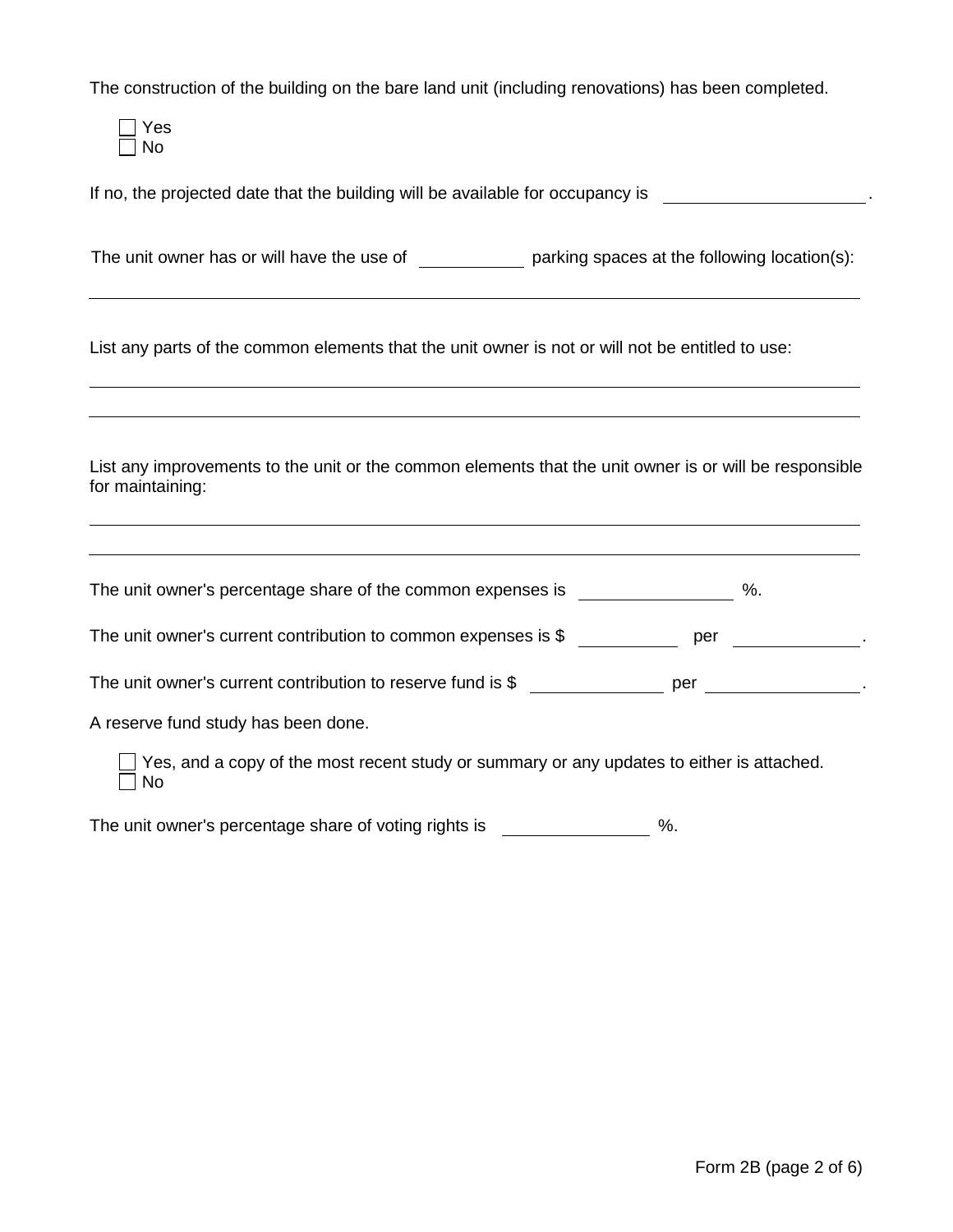The construction of the building on the bare land unit (including renovations) has been completed.

Yes  $\Box$  No

If no, the projected date that the building will be available for occupancy is .

The unit owner has or will have the use of  $\rule{1em}{0.15mm}$  parking spaces at the following location(s):

List any parts of the common elements that the unit owner is not or will not be entitled to use:

List any improvements to the unit or the common elements that the unit owner is or will be responsible for maintaining:

| The unit owner's percentage share of the common expenses is                                      | %.  |
|--------------------------------------------------------------------------------------------------|-----|
| The unit owner's current contribution to common expenses is \$                                   | per |
| The unit owner's current contribution to reserve fund is \$                                      | per |
| A reserve fund study has been done.                                                              |     |
| Yes, and a copy of the most recent study or summary or any updates to either is attached.<br>No. |     |

The unit owner's percentage share of voting rights is  $\%$ .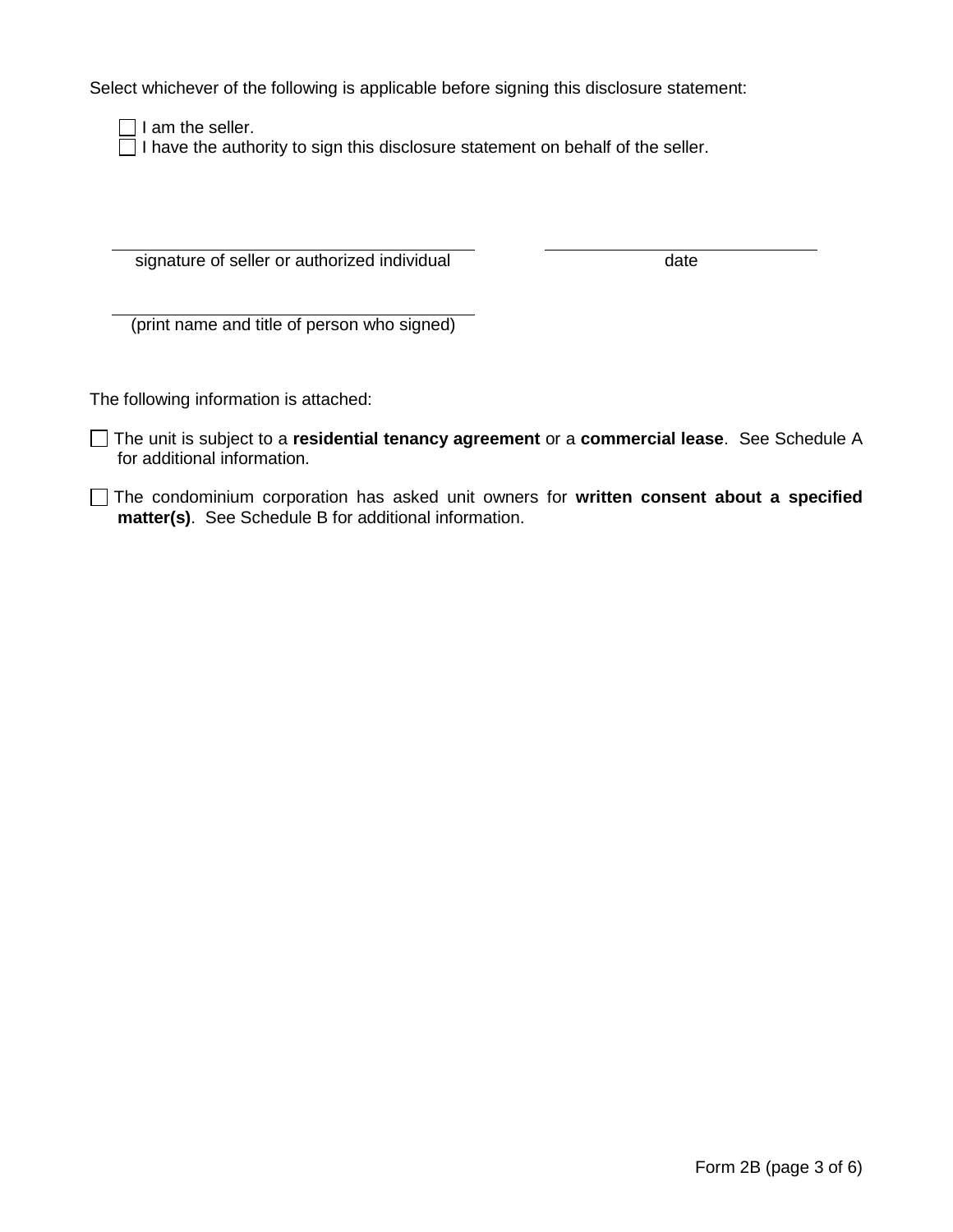Select whichever of the following is applicable before signing this disclosure statement:

 $\Box$  I am the seller.

 $\Box$  I have the authority to sign this disclosure statement on behalf of the seller.

signature of seller or authorized individual date

(print name and title of person who signed)

The following information is attached:

- The unit is subject to a **residential tenancy agreement** or a **commercial lease**. See Schedule A for additional information.
- The condominium corporation has asked unit owners for **written consent about a specified matter(s)**. See Schedule B for additional information.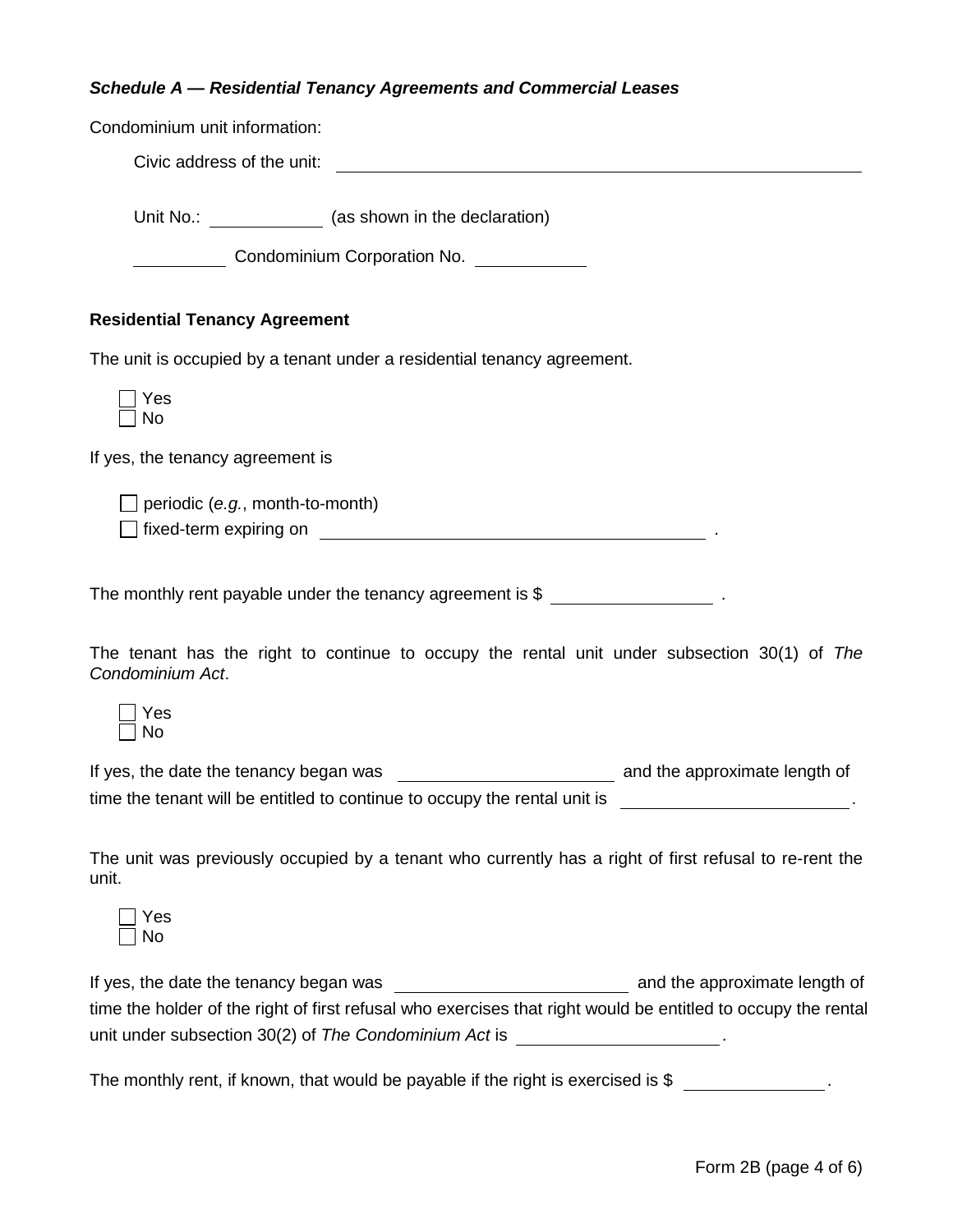## *Schedule A — Residential Tenancy Agreements and Commercial Leases*

| Condominium unit information:                                                                                                                                                                                                                                                |
|------------------------------------------------------------------------------------------------------------------------------------------------------------------------------------------------------------------------------------------------------------------------------|
| Civic address of the unit:                                                                                                                                                                                                                                                   |
| Unit No.: _______________ (as shown in the declaration)                                                                                                                                                                                                                      |
| <b>Condominium Corporation No.</b>                                                                                                                                                                                                                                           |
| <b>Residential Tenancy Agreement</b>                                                                                                                                                                                                                                         |
| The unit is occupied by a tenant under a residential tenancy agreement.                                                                                                                                                                                                      |
| Yes<br><b>No</b>                                                                                                                                                                                                                                                             |
| If yes, the tenancy agreement is                                                                                                                                                                                                                                             |
| $\Box$ periodic (e.g., month-to-month)                                                                                                                                                                                                                                       |
| The monthly rent payable under the tenancy agreement is \$ ______________________                                                                                                                                                                                            |
| The tenant has the right to continue to occupy the rental unit under subsection 30(1) of The<br>Condominium Act.                                                                                                                                                             |
| Yes<br><b>No</b>                                                                                                                                                                                                                                                             |
| time the tenant will be entitled to continue to occupy the rental unit is<br>the contract of the contract of the contract of the contract of the contract of                                                                                                                 |
| The unit was previously occupied by a tenant who currently has a right of first refusal to re-rent the<br>unit.                                                                                                                                                              |
| Yes<br>No                                                                                                                                                                                                                                                                    |
| If yes, the date the tenancy began was<br>and the approximate length of<br>time the holder of the right of first refusal who exercises that right would be entitled to occupy the rental<br>unit under subsection 30(2) of The Condominium Act is __________________________ |

The monthly rent, if known, that would be payable if the right is exercised is \$ \_\_\_\_\_\_\_\_\_\_\_\_\_\_.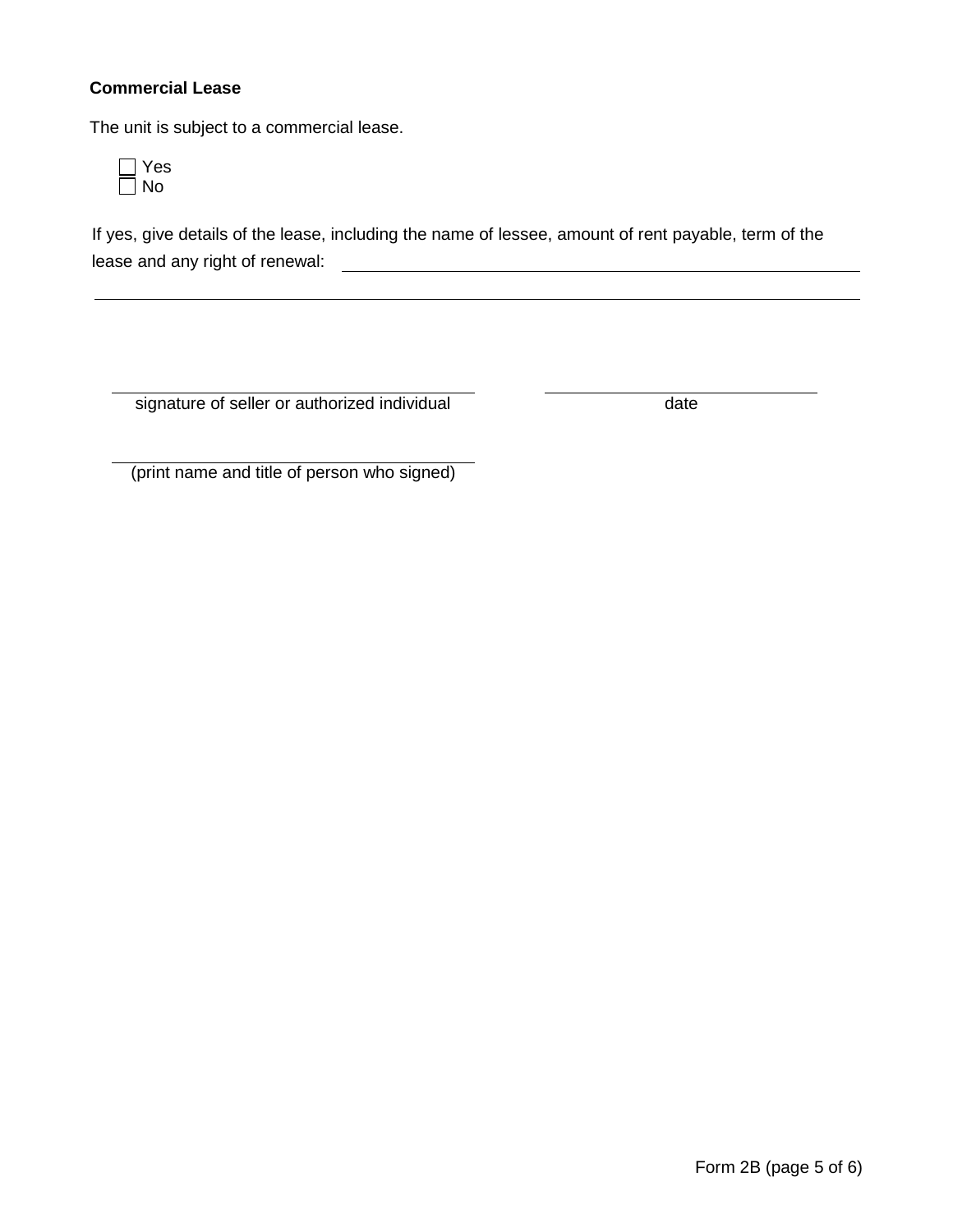## **Commercial Lease**

The unit is subject to a commercial lease.



If yes, give details of the lease, including the name of lessee, amount of rent payable, term of the lease and any right of renewal:

signature of seller or authorized individual date

(print name and title of person who signed)